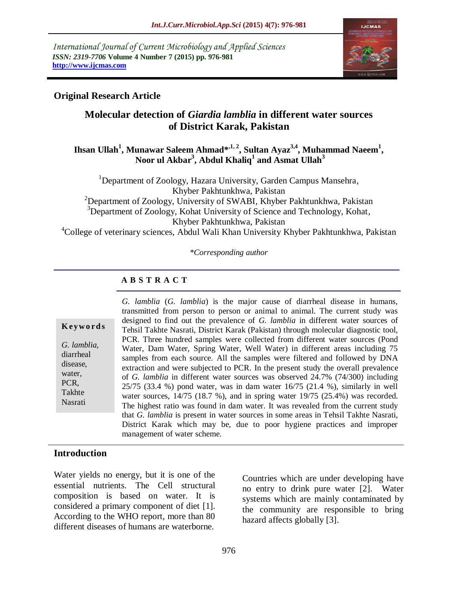*International Journal of Current Microbiology and Applied Sciences ISSN: 2319-7706* **Volume 4 Number 7 (2015) pp. 976-981 http://www.ijcmas.com** 



### **Original Research Article**

# **Molecular detection of** *Giardia lamblia* **in different water sources of District Karak, Pakistan**

**Ihsan Ullah<sup>1</sup> , Munawar Saleem Ahmad\*,1, 2, Sultan Ayaz3,4, Muhammad Naeem<sup>1</sup> , Noor ul Akbar<sup>3</sup> , Abdul Khaliq<sup>1</sup> and Asmat Ullah<sup>3</sup>**

<sup>1</sup>Department of Zoology, Hazara University, Garden Campus Mansehra, Khyber Pakhtunkhwa, Pakistan <sup>2</sup>Department of Zoology, University of SWABI, Khyber Pakhtunkhwa, Pakistan  $3D$  Department of Zoology, Kohat University of Science and Technology, Kohat, Khyber Pakhtunkhwa, Pakistan <sup>4</sup>College of veterinary sciences, Abdul Wali Khan University Khyber Pakhtunkhwa, Pakistan

*\*Corresponding author*

# **A B S T R A C T**

# **K ey w o rd s**

*G. lamblia,* diarrheal disease, water, PCR, Takhte Nasrati

*G. lamblia* (*G. lamblia*) is the major cause of diarrheal disease in humans, transmitted from person to person or animal to animal. The current study was designed to find out the prevalence of *G. lamblia* in different water sources of Tehsil Takhte Nasrati, District Karak (Pakistan) through molecular diagnostic tool, PCR. Three hundred samples were collected from different water sources (Pond Water, Dam Water, Spring Water, Well Water) in different areas including 75 samples from each source. All the samples were filtered and followed by DNA extraction and were subjected to PCR. In the present study the overall prevalence of *G. lamblia* in different water sources was observed 24.7% (74/300) including 25/75 (33.4 %) pond water, was in dam water 16/75 (21.4 %), similarly in well water sources, 14/75 (18.7 %), and in spring water 19/75 (25.4%) was recorded. The highest ratio was found in dam water. It was revealed from the current study that *G. lamblia* is present in water sources in some areas in Tehsil Takhte Nasrati, District Karak which may be, due to poor hygiene practices and improper management of water scheme.

#### **Introduction**

Water yields no energy, but it is one of the essential nutrients. The Cell structural composition is based on water. It is considered a primary component of diet [1]. According to the WHO report, more than 80 different diseases of humans are waterborne.

Countries which are under developing have no entry to drink pure water [2]. Water systems which are mainly contaminated by the community are responsible to bring hazard affects globally [3].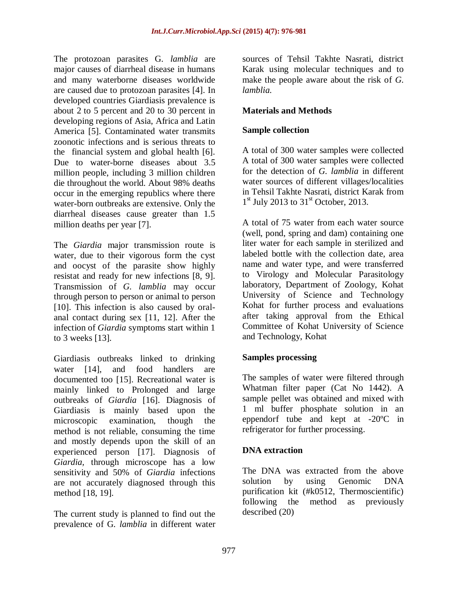The protozoan parasites G*. lamblia* are major causes of diarrheal disease in humans and many waterborne diseases worldwide are caused due to protozoan parasites [4]. In developed countries Giardiasis prevalence is about 2 to 5 percent and 20 to 30 percent in developing regions of Asia, Africa and Latin America [5]. Contaminated water transmits zoonotic infections and is serious threats to the financial system and global health [6]. Due to water-borne diseases about 3.5 million people, including 3 million children die throughout the world. About 98% deaths occur in the emerging republics where there water-born outbreaks are extensive. Only the diarrheal diseases cause greater than 1.5 million deaths per year [7].

The *Giardia* major transmission route is water, due to their vigorous form the cyst and oocyst of the parasite show highly resistat and ready for new infections [8, 9]. Transmission of *G. lamblia* may occur through person to person or animal to person [10]. This infection is also caused by oralanal contact during sex [11, 12]. After the infection of *Giardia* symptoms start within 1 to 3 weeks [13].

Giardiasis outbreaks linked to drinking water [14], and food handlers are documented too [15]. Recreational water is mainly linked to Prolonged and large outbreaks of *Giardia* [16]. Diagnosis of Giardiasis is mainly based upon the microscopic examination, though the method is not reliable, consuming the time and mostly depends upon the skill of an experienced person [17]. Diagnosis of *Giardia,* through microscope has a low sensitivity and 50% of *Giardia* infections are not accurately diagnosed through this method [18, 19].

The current study is planned to find out the prevalence of G*. lamblia* in different water sources of Tehsil Takhte Nasrati, district Karak using molecular techniques and to make the people aware about the risk of *G. lamblia.*

# **Materials and Methods**

#### **Sample collection**

A total of 300 water samples were collected A total of 300 water samples were collected for the detection of *G. lamblia* in different water sources of different villages/localities in Tehsil Takhte Nasrati, district Karak from  $1<sup>st</sup>$  July 2013 to 31<sup>st</sup> October, 2013.

A total of 75 water from each water source (well, pond, spring and dam) containing one liter water for each sample in sterilized and labeled bottle with the collection date, area name and water type, and were transferred to Virology and Molecular Parasitology laboratory, Department of Zoology, Kohat University of Science and Technology Kohat for further process and evaluations after taking approval from the Ethical Committee of Kohat University of Science and Technology, Kohat

# **Samples processing**

The samples of water were filtered through Whatman filter paper (Cat No 1442). A sample pellet was obtained and mixed with 1 ml buffer phosphate solution in an eppendorf tube and kept at -20ºC in refrigerator for further processing.

# **DNA extraction**

The DNA was extracted from the above solution by using Genomic DNA purification kit (#k0512, Thermoscientific) following the method as previously described (20)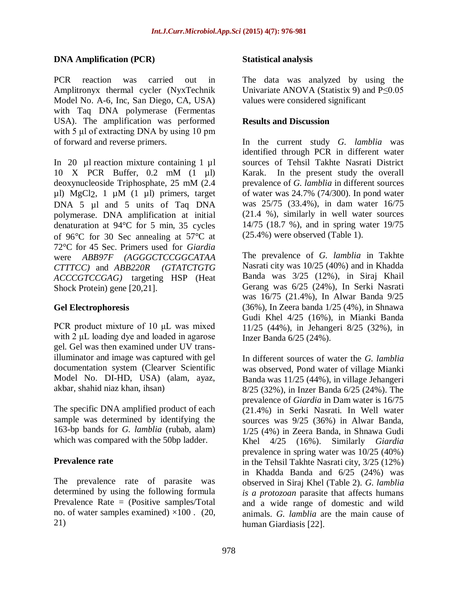### **DNA Amplification (PCR)**

PCR reaction was carried out in Amplitronyx thermal cycler (NyxTechnik Model No. A-6, Inc, San Diego, CA, USA) with Taq DNA polymerase (Fermentas USA). The amplification was performed with 5 μl of extracting DNA by using 10 pm of forward and reverse primers.

In 20 µl reaction mixture containing 1 µl 10 X PCR Buffer, 0.2 mM (1 µl) deoxynucleoside Triphosphate, 25 mM (2.4 µl) MgCl2, 1 µM (1 µl) primers, target DNA 5 µl and 5 units of Taq DNA polymerase. DNA amplification at initial denaturation at 94°C for 5 min, 35 cycles of 96°C for 30 Sec annealing at 57°C at 72°C for 45 Sec. Primers used for *Giardia*  were *ABB97F (AGGGCTCCGGCATAA CTTTCC)* and *ABB220R (GTATCTGTG ACCCGTCCGAG)* targeting HSP (Heat Shock Protein) gene [20,21].

# **Gel Electrophoresis**

PCR product mixture of 10 μL was mixed with 2 μL loading dye and loaded in agarose gel. Gel was then examined under UV transilluminator and image was captured with gel documentation system (Clearver Scientific Model No. DI-HD, USA) (alam, ayaz, akbar, shahid niaz khan, ihsan)

The specific DNA amplified product of each sample was determined by identifying the 163-bp bands for *G. lamblia* (rubab, alam) which was compared with the 50bp ladder.

# **Prevalence rate**

The prevalence rate of parasite was determined by using the following formula Prevalence Rate = (Positive samples/Total no. of water samples examined)  $\times 100$ . (20, 21)

#### **Statistical analysis**

The data was analyzed by using the Univariate ANOVA (Statistix 9) and  $P \le 0.05$ values were considered significant

#### **Results and Discussion**

In the current study *G. lamblia* was identified through PCR in different water sources of Tehsil Takhte Nasrati District Karak. In the present study the overall prevalence of *G. lamblia* in different sources of water was 24.7% (74/300). In pond water was 25/75 (33.4%), in dam water 16/75 (21.4 %), similarly in well water sources 14/75 (18.7 %), and in spring water 19/75 (25.4%) were observed (Table 1).

The prevalence of *G. lamblia* in Takhte Nasrati city was 10/25 (40%) and in Khadda Banda was 3/25 (12%), in Siraj Khail Gerang was 6/25 (24%), In Serki Nasrati was 16/75 (21.4%), In Alwar Banda 9/25 (36%), In Zeera banda 1/25 (4%), in Shnawa Gudi Khel 4/25 (16%), in Mianki Banda 11/25 (44%), in Jehangeri 8/25 (32%), in Inzer Banda 6/25 (24%).

In different sources of water the *G. lamblia* was observed, Pond water of village Mianki Banda was 11/25 (44%), in village Jehangeri 8/25 (32%), in Inzer Banda 6/25 (24%). The prevalence of *Giardia* in Dam water is 16/75 (21.4%) in Serki Nasrati. In Well water sources was 9/25 (36%) in Alwar Banda, 1/25 (4%) in Zeera Banda, in Shnawa Gudi Khel 4/25 (16%). Similarly *Giardia* prevalence in spring water was 10/25 (40%) in the Tehsil Takhte Nasrati city, 3/25 (12%) in Khadda Banda and 6/25 (24%) was observed in Siraj Khel (Table 2). *G. lamblia is a protozoan* parasite that affects humans and a wide range of domestic and wild animals. *G. lamblia* are the main cause of human Giardiasis [22].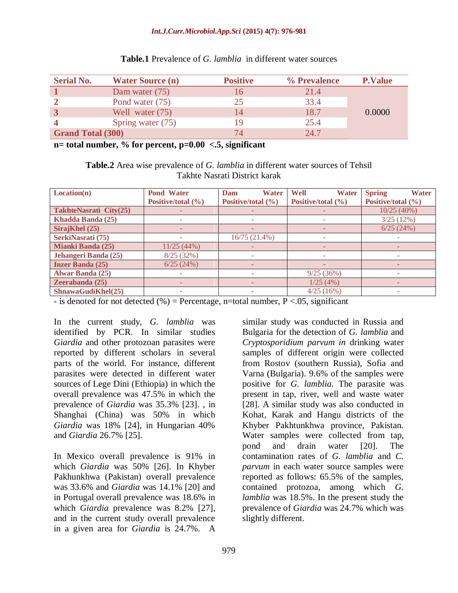#### *Int.J.Curr.Microbiol.App.Sci* **(2015) 4(7): 976-981**

| <b>Serial No.</b>        | <b>Water Source (n)</b> | <b>Positive</b> | % Prevalence | <b>P.Value</b> |
|--------------------------|-------------------------|-----------------|--------------|----------------|
|                          | Dam water $(75)$        | 16              | 21.4         |                |
|                          | Pond water (75)         | 25              | 33.4         |                |
|                          | Well water (75)         | 14              | 18.7         | 0.0000         |
|                          | Spring water (75)       |                 | 25.4         |                |
| <b>Grand Total (300)</b> |                         | 74              | 24.7         |                |

#### **Table.1** Prevalence of *G. lamblia* in different water sources

**n= total number, % for percent, p=0.00 <.5, significant**

**Table.2** Area wise prevalence of *G. lamblia* in different water sources of Tehsil Takhte Nasrati District karak

| Location(n)              | <b>Pond Water</b>  | <b>Water</b><br>Dam    | Well<br><b>Water</b> | <b>Spring</b><br><b>Water</b> |
|--------------------------|--------------------|------------------------|----------------------|-------------------------------|
|                          | Positive/total (%) | Positive/total $(\% )$ | Positive/total (%)   | Positive/total (%)            |
| TakhteNasrati City(25)   |                    |                        |                      | 10/25(40%)                    |
| Khadda Banda (25)        |                    |                        |                      | 3/25(12%)                     |
| SirajKhel (25)           |                    |                        |                      | 6/25(24%)                     |
| SerkiNasrati (75)        |                    | 16/75(21.4%)           | ۰                    |                               |
| <b>Mianki Banda (25)</b> | 11/25(44%)         |                        |                      |                               |
| Jehangeri Banda (25)     | 8/25(32%)          |                        |                      |                               |
| <b>Inzer Banda (25)</b>  | 6/25(24%)          |                        |                      |                               |
| <b>Alwar Banda (25)</b>  |                    |                        | 9/25(36%)            |                               |
| Zeerabanda (25)          |                    |                        | 1/25(4%)             |                               |
| ShnawaGudiKhel(25)       | -                  |                        | 4/25(16%)            | ۰                             |

- is denoted for not detected (%) = Percentage, n=total number,  $P < .05$ , significant

In the current study, *G. lamblia* was identified by PCR. In similar studies *Giardia* and other protozoan parasites were reported by different scholars in several parts of the world. For instance, different parasites were detected in different water sources of Lege Dini (Ethiopia) in which the overall prevalence was 47.5% in which the prevalence of *Giardia* was 35.3% [23]. , in Shanghai (China) was 50% in which *Giardia* was 18% [24], in Hungarian 40% and *Giardia* 26.7% [25].

In Mexico overall prevalence is 91% in which *Giardia* was 50% [26]. In Khyber Pakhunkhwa (Pakistan) overall prevalence was 33.6% and *Giardia* was 14.1% [20] and in Portugal overall prevalence was 18.6% in which *Giardia* prevalence was 8.2% [27], and in the current study overall prevalence in a given area for *Giardia* is 24.7%. A

similar study was conducted in Russia and Bulgaria for the detection of *G. lamblia* and *Cryptosporidium parvum in* drinking water samples of different origin were collected from Rostov (southern Russia), Sofia and Varna (Bulgaria). 9.6% of the samples were positive for *G. lamblia.* The parasite was present in tap, river, well and waste water [28]. A similar study was also conducted in Kohat, Karak and Hangu districts of the Khyber Pakhtunkhwa province, Pakistan. Water samples were collected from tap, pond and drain water [20]. The contamination rates of *G. lamblia* and *C. parvum* in each water source samples were reported as follows: 65.5% of the samples, contained protozoa, among which *G. lamblia* was 18.5%. In the present study the prevalence of *Giardia* was 24.7% which was slightly different.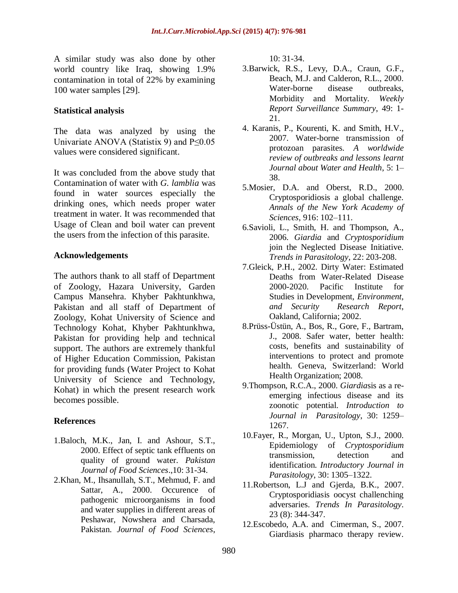A similar study was also done by other world country like Iraq, showing 1.9% contamination in total of 22% by examining 100 water samples [29].

#### **Statistical analysis**

The data was analyzed by using the Univariate ANOVA (Statistix 9) and P≤0.05 values were considered significant.

It was concluded from the above study that Contamination of water with *G. lamblia* was found in water sources especially the drinking ones, which needs proper water treatment in water. It was recommended that Usage of Clean and boil water can prevent the users from the infection of this parasite.

#### **Acknowledgements**

The authors thank to all staff of Department of Zoology, Hazara University, Garden Campus Mansehra. Khyber Pakhtunkhwa, Pakistan and all staff of Department of Zoology, Kohat University of Science and Technology Kohat, Khyber Pakhtunkhwa, Pakistan for providing help and technical support. The authors are extremely thankful of Higher Education Commission, Pakistan for providing funds (Water Project to Kohat University of Science and Technology, Kohat) in which the present research work becomes possible.

#### **References**

- 1.Baloch, M.K., Jan, I. and Ashour, S.T., 2000. Effect of septic tank effluents on quality of ground water. *Pakistan Journal of Food Sciences*.,10: 31-34.
- 2.Khan, M., Ihsanullah, S.T., Mehmud, F. and Sattar, A., 2000. Occurence of pathogenic microorganisms in food and water supplies in different areas of Peshawar, Nowshera and Charsada, Pakistan. *Journal of Food Sciences*,

10: 31-34.

- 3.Barwick, R.S*.,* Levy, D.A., Craun, G.F., Beach, M.J. and Calderon, R.L., 2000. Water-borne disease outbreaks, Morbidity and Mortality. *Weekly Report Surveillance Summary*, 49: 1- 21.
- 4. Karanis, P., Kourenti, K. and Smith, H.V., 2007. Water-borne transmission of protozoan parasites*. A worldwide review of outbreaks and lessons learnt Journal about Water and Health*, 5: 1– 38.
- 5.Mosier, D.A. and Oberst, R.D., 2000. Cryptosporidiosis a global challenge. *Annals of the New York Academy of Sciences*, 916: 102–111.
- 6.Savioli, L., Smith, H. and Thompson, A., 2006. *Giardia* and *Cryptosporidium* join the Neglected Disease Initiative. *Trends in Parasitology*, 22: 203-208.
- 7.Gleick, P.H., 2002. Dirty Water: Estimated Deaths from Water-Related Disease 2000-2020. Pacific Institute for Studies in Development, *Environment, and Security Research Report*, Oakland, California; 2002.
- 8.Prüss-Üstün, A., Bos, R., Gore, F., Bartram, J., 2008. Safer water, better health: costs, benefits and sustainability of interventions to protect and promote health. Geneva, Switzerland: World Health Organization; 2008.
- 9.Thompson, R.C.A., 2000. *Giardia*sis as a reemerging infectious disease and its zoonotic potential. *Introduction to Journal in Parasitology*, 30: 1259– 1267.
- 10.Fayer, R., Morgan, U., Upton, S.J., 2000. Epidemiology of *Cryptosporidium* transmission, detection and identification. *Introductory Journal in Parasitology*, 30: 1305–1322.
- 11.Robertson, L.J and Gjerda, B.K., 2007. Cryptosporidiasis oocyst challenching adversaries. *Trends In Parasitology*. 23 (8): 344-347.
- 12.Escobedo, A.A. and Cimerman, S., 2007. [Giardiasis pharmaco therapy review.](http://www.ncbi.nlm.nih.gov/pubmed/17696791)